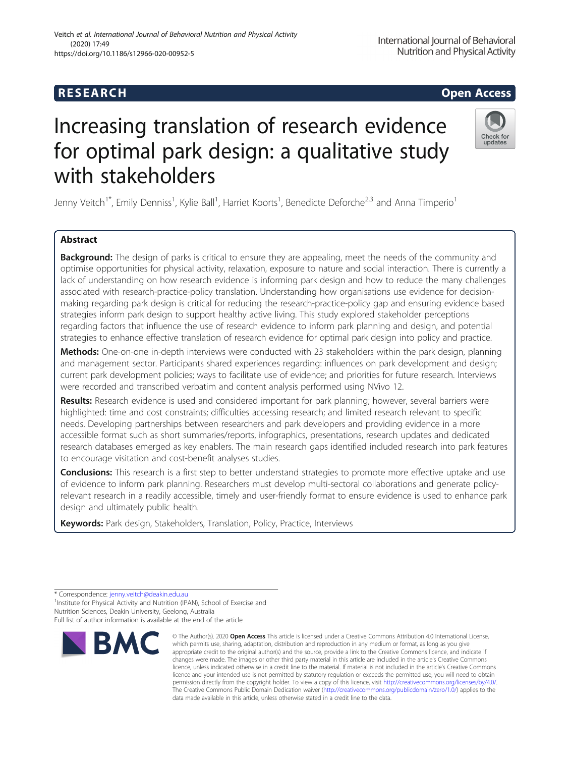# **RESEARCH CHEAR CHEAR CHEAR CHEAR CHEAR CHEAR CHEAR CHEAR CHEAR CHEAR CHEAR CHEAR CHEAR CHEAR CHEAR CHEAR CHEAR**

# Increasing translation of research evidence for optimal park design: a qualitative study with stakeholders

Jenny Veitch<sup>1\*</sup>, Emily Denniss<sup>1</sup>, Kylie Ball<sup>1</sup>, Harriet Koorts<sup>1</sup>, Benedicte Deforche<sup>2,3</sup> and Anna Timperio<sup>1</sup>

## Abstract

**Background:** The design of parks is critical to ensure they are appealing, meet the needs of the community and optimise opportunities for physical activity, relaxation, exposure to nature and social interaction. There is currently a lack of understanding on how research evidence is informing park design and how to reduce the many challenges associated with research-practice-policy translation. Understanding how organisations use evidence for decisionmaking regarding park design is critical for reducing the research-practice-policy gap and ensuring evidence based strategies inform park design to support healthy active living. This study explored stakeholder perceptions regarding factors that influence the use of research evidence to inform park planning and design, and potential strategies to enhance effective translation of research evidence for optimal park design into policy and practice.

Methods: One-on-one in-depth interviews were conducted with 23 stakeholders within the park design, planning and management sector. Participants shared experiences regarding: influences on park development and design; current park development policies; ways to facilitate use of evidence; and priorities for future research. Interviews were recorded and transcribed verbatim and content analysis performed using NVivo 12.

Results: Research evidence is used and considered important for park planning; however, several barriers were highlighted: time and cost constraints; difficulties accessing research; and limited research relevant to specific needs. Developing partnerships between researchers and park developers and providing evidence in a more accessible format such as short summaries/reports, infographics, presentations, research updates and dedicated research databases emerged as key enablers. The main research gaps identified included research into park features to encourage visitation and cost-benefit analyses studies.

Conclusions: This research is a first step to better understand strategies to promote more effective uptake and use of evidence to inform park planning. Researchers must develop multi-sectoral collaborations and generate policyrelevant research in a readily accessible, timely and user-friendly format to ensure evidence is used to enhance park design and ultimately public health.

Keywords: Park design, Stakeholders, Translation, Policy, Practice, Interviews

**RMC** 



© The Author(s), 2020 **Open Access** This article is licensed under a Creative Commons Attribution 4.0 International License, which permits use, sharing, adaptation, distribution and reproduction in any medium or format, as long as you give





<sup>\*</sup> Correspondence: [jenny.veitch@deakin.edu.au](mailto:jenny.veitch@deakin.edu.au) <sup>1</sup>

<sup>&</sup>lt;sup>1</sup> Institute for Physical Activity and Nutrition (IPAN), School of Exercise and Nutrition Sciences, Deakin University, Geelong, Australia Full list of author information is available at the end of the article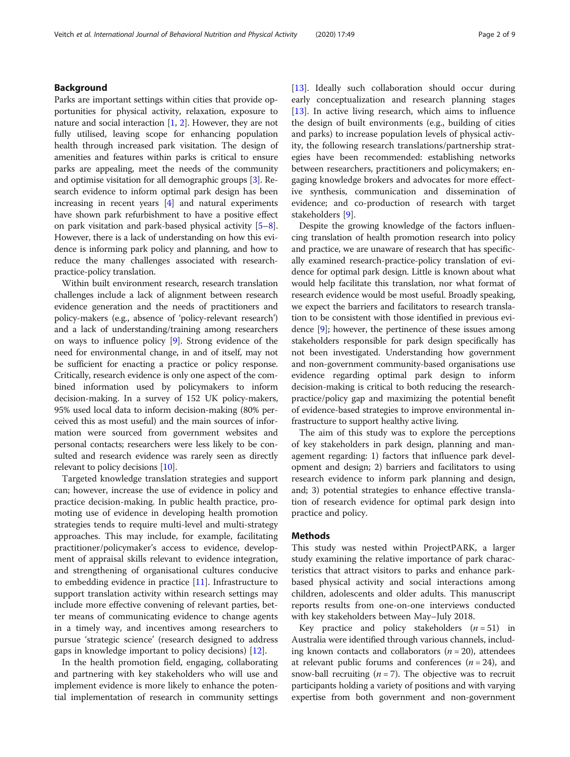#### Background

Parks are important settings within cities that provide opportunities for physical activity, relaxation, exposure to nature and social interaction  $[1, 2]$  $[1, 2]$  $[1, 2]$ . However, they are not fully utilised, leaving scope for enhancing population health through increased park visitation. The design of amenities and features within parks is critical to ensure parks are appealing, meet the needs of the community and optimise visitation for all demographic groups [\[3\]](#page-8-0). Research evidence to inform optimal park design has been increasing in recent years [\[4](#page-8-0)] and natural experiments have shown park refurbishment to have a positive effect on park visitation and park-based physical activity [[5](#page-8-0)–[8](#page-8-0)]. However, there is a lack of understanding on how this evidence is informing park policy and planning, and how to reduce the many challenges associated with researchpractice-policy translation.

Within built environment research, research translation challenges include a lack of alignment between research evidence generation and the needs of practitioners and policy-makers (e.g., absence of 'policy-relevant research') and a lack of understanding/training among researchers on ways to influence policy [[9](#page-8-0)]. Strong evidence of the need for environmental change, in and of itself, may not be sufficient for enacting a practice or policy response. Critically, research evidence is only one aspect of the combined information used by policymakers to inform decision-making. In a survey of 152 UK policy-makers, 95% used local data to inform decision-making (80% perceived this as most useful) and the main sources of information were sourced from government websites and personal contacts; researchers were less likely to be consulted and research evidence was rarely seen as directly relevant to policy decisions [\[10\]](#page-8-0).

Targeted knowledge translation strategies and support can; however, increase the use of evidence in policy and practice decision-making. In public health practice, promoting use of evidence in developing health promotion strategies tends to require multi-level and multi-strategy approaches. This may include, for example, facilitating practitioner/policymaker's access to evidence, development of appraisal skills relevant to evidence integration, and strengthening of organisational cultures conducive to embedding evidence in practice [\[11](#page-8-0)]. Infrastructure to support translation activity within research settings may include more effective convening of relevant parties, better means of communicating evidence to change agents in a timely way, and incentives among researchers to pursue 'strategic science' (research designed to address gaps in knowledge important to policy decisions) [[12\]](#page-8-0).

In the health promotion field, engaging, collaborating and partnering with key stakeholders who will use and implement evidence is more likely to enhance the potential implementation of research in community settings [[13\]](#page-8-0). Ideally such collaboration should occur during early conceptualization and research planning stages [[13\]](#page-8-0). In active living research, which aims to influence the design of built environments (e.g., building of cities and parks) to increase population levels of physical activity, the following research translations/partnership strategies have been recommended: establishing networks between researchers, practitioners and policymakers; engaging knowledge brokers and advocates for more effective synthesis, communication and dissemination of evidence; and co-production of research with target stakeholders [[9](#page-8-0)].

Despite the growing knowledge of the factors influencing translation of health promotion research into policy and practice, we are unaware of research that has specifically examined research-practice-policy translation of evidence for optimal park design. Little is known about what would help facilitate this translation, nor what format of research evidence would be most useful. Broadly speaking, we expect the barriers and facilitators to research translation to be consistent with those identified in previous evidence [[9](#page-8-0)]; however, the pertinence of these issues among stakeholders responsible for park design specifically has not been investigated. Understanding how government and non-government community-based organisations use evidence regarding optimal park design to inform decision-making is critical to both reducing the researchpractice/policy gap and maximizing the potential benefit of evidence-based strategies to improve environmental infrastructure to support healthy active living.

The aim of this study was to explore the perceptions of key stakeholders in park design, planning and management regarding: 1) factors that influence park development and design; 2) barriers and facilitators to using research evidence to inform park planning and design, and; 3) potential strategies to enhance effective translation of research evidence for optimal park design into practice and policy.

#### Methods

This study was nested within ProjectPARK, a larger study examining the relative importance of park characteristics that attract visitors to parks and enhance parkbased physical activity and social interactions among children, adolescents and older adults. This manuscript reports results from one-on-one interviews conducted with key stakeholders between May–July 2018.

Key practice and policy stakeholders  $(n = 51)$  in Australia were identified through various channels, including known contacts and collaborators ( $n = 20$ ), attendees at relevant public forums and conferences  $(n = 24)$ , and snow-ball recruiting  $(n = 7)$ . The objective was to recruit participants holding a variety of positions and with varying expertise from both government and non-government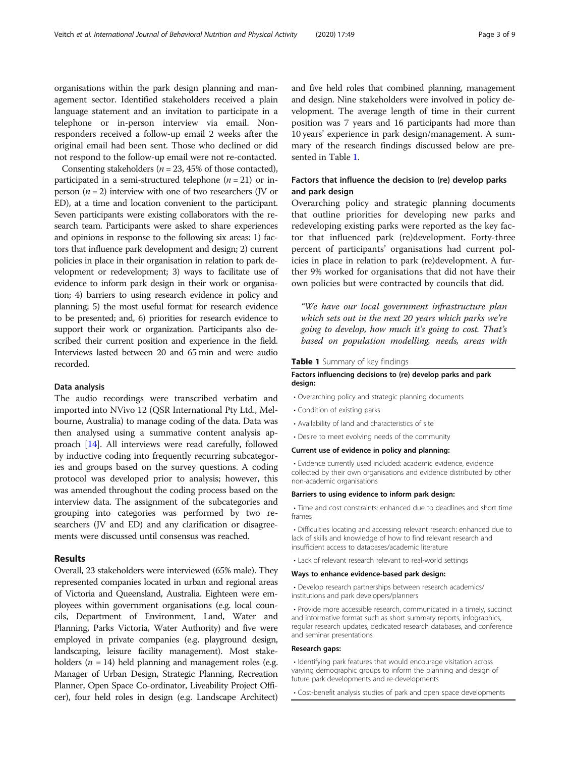organisations within the park design planning and management sector. Identified stakeholders received a plain language statement and an invitation to participate in a telephone or in-person interview via email. Nonresponders received a follow-up email 2 weeks after the original email had been sent. Those who declined or did not respond to the follow-up email were not re-contacted.

Consenting stakeholders ( $n = 23, 45\%$  of those contacted), participated in a semi-structured telephone  $(n = 21)$  or inperson  $(n = 2)$  interview with one of two researchers (JV or ED), at a time and location convenient to the participant. Seven participants were existing collaborators with the research team. Participants were asked to share experiences and opinions in response to the following six areas: 1) factors that influence park development and design; 2) current policies in place in their organisation in relation to park development or redevelopment; 3) ways to facilitate use of evidence to inform park design in their work or organisation; 4) barriers to using research evidence in policy and planning; 5) the most useful format for research evidence to be presented; and, 6) priorities for research evidence to support their work or organization. Participants also described their current position and experience in the field. Interviews lasted between 20 and 65 min and were audio recorded.

#### Data analysis

The audio recordings were transcribed verbatim and imported into NVivo 12 (QSR International Pty Ltd., Melbourne, Australia) to manage coding of the data. Data was then analysed using a summative content analysis approach [[14](#page-8-0)]. All interviews were read carefully, followed by inductive coding into frequently recurring subcategories and groups based on the survey questions. A coding protocol was developed prior to analysis; however, this was amended throughout the coding process based on the interview data. The assignment of the subcategories and grouping into categories was performed by two researchers (JV and ED) and any clarification or disagreements were discussed until consensus was reached.

#### Results

Overall, 23 stakeholders were interviewed (65% male). They represented companies located in urban and regional areas of Victoria and Queensland, Australia. Eighteen were employees within government organisations (e.g. local councils, Department of Environment, Land, Water and Planning, Parks Victoria, Water Authority) and five were employed in private companies (e.g. playground design, landscaping, leisure facility management). Most stakeholders ( $n = 14$ ) held planning and management roles (e.g. Manager of Urban Design, Strategic Planning, Recreation Planner, Open Space Co-ordinator, Liveability Project Officer), four held roles in design (e.g. Landscape Architect)

and five held roles that combined planning, management and design. Nine stakeholders were involved in policy development. The average length of time in their current position was 7 years and 16 participants had more than 10 years' experience in park design/management. A summary of the research findings discussed below are presented in Table 1.

#### Factors that influence the decision to (re) develop parks and park design

Overarching policy and strategic planning documents that outline priorities for developing new parks and redeveloping existing parks were reported as the key factor that influenced park (re)development. Forty-three percent of participants' organisations had current policies in place in relation to park (re)development. A further 9% worked for organisations that did not have their own policies but were contracted by councils that did.

"We have our local government infrastructure plan which sets out in the next 20 years which parks we're going to develop, how much it's going to cost. That's based on population modelling, needs, areas with

#### Table 1 Summary of key findings

#### Factors influencing decisions to (re) develop parks and park design:

- Overarching policy and strategic planning documents
- Condition of existing parks
- Availability of land and characteristics of site
- Desire to meet evolving needs of the community

#### Current use of evidence in policy and planning:

• Evidence currently used included: academic evidence, evidence collected by their own organisations and evidence distributed by other non-academic organisations

#### Barriers to using evidence to inform park design:

• Time and cost constraints: enhanced due to deadlines and short time frames

• Difficulties locating and accessing relevant research: enhanced due to lack of skills and knowledge of how to find relevant research and insufficient access to databases/academic literature

• Lack of relevant research relevant to real-world settings

#### Ways to enhance evidence-based park design:

• Develop research partnerships between research academics/ institutions and park developers/planners

• Provide more accessible research, communicated in a timely, succinct and informative format such as short summary reports, infographics, regular research updates, dedicated research databases, and conference and seminar presentations

#### Research gaps:

• Identifying park features that would encourage visitation across varying demographic groups to inform the planning and design of future park developments and re-developments

• Cost-benefit analysis studies of park and open space developments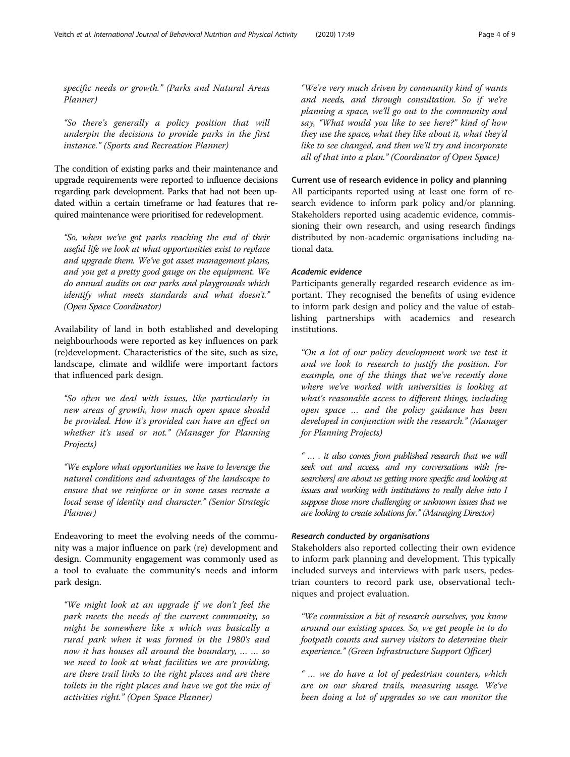specific needs or growth." (Parks and Natural Areas Planner)

"So there's generally a policy position that will underpin the decisions to provide parks in the first instance." (Sports and Recreation Planner)

The condition of existing parks and their maintenance and upgrade requirements were reported to influence decisions regarding park development. Parks that had not been updated within a certain timeframe or had features that required maintenance were prioritised for redevelopment.

"So, when we've got parks reaching the end of their useful life we look at what opportunities exist to replace and upgrade them. We've got asset management plans, and you get a pretty good gauge on the equipment. We do annual audits on our parks and playgrounds which identify what meets standards and what doesn't." (Open Space Coordinator)

Availability of land in both established and developing neighbourhoods were reported as key influences on park (re)development. Characteristics of the site, such as size, landscape, climate and wildlife were important factors that influenced park design.

"So often we deal with issues, like particularly in new areas of growth, how much open space should be provided. How it's provided can have an effect on whether it's used or not." (Manager for Planning Projects)

"We explore what opportunities we have to leverage the natural conditions and advantages of the landscape to ensure that we reinforce or in some cases recreate a local sense of identity and character." (Senior Strategic Planner)

Endeavoring to meet the evolving needs of the community was a major influence on park (re) development and design. Community engagement was commonly used as a tool to evaluate the community's needs and inform park design.

"We might look at an upgrade if we don't feel the park meets the needs of the current community, so might be somewhere like x which was basically a rural park when it was formed in the 1980's and now it has houses all around the boundary, … … so we need to look at what facilities we are providing, are there trail links to the right places and are there toilets in the right places and have we got the mix of activities right." (Open Space Planner)

"We're very much driven by community kind of wants and needs, and through consultation. So if we're planning a space, we'll go out to the community and say, "What would you like to see here?" kind of how they use the space, what they like about it, what they'd like to see changed, and then we'll try and incorporate all of that into a plan." (Coordinator of Open Space)

#### Current use of research evidence in policy and planning

All participants reported using at least one form of research evidence to inform park policy and/or planning. Stakeholders reported using academic evidence, commissioning their own research, and using research findings distributed by non-academic organisations including national data.

#### Academic evidence

Participants generally regarded research evidence as important. They recognised the benefits of using evidence to inform park design and policy and the value of establishing partnerships with academics and research institutions.

"On a lot of our policy development work we test it and we look to research to justify the position. For example, one of the things that we've recently done where we've worked with universities is looking at what's reasonable access to different things, including open space … and the policy guidance has been developed in conjunction with the research." (Manager for Planning Projects)

" … . it also comes from published research that we will seek out and access, and my conversations with [researchers] are about us getting more specific and looking at issues and working with institutions to really delve into I suppose those more challenging or unknown issues that we are looking to create solutions for." (Managing Director)

#### Research conducted by organisations

Stakeholders also reported collecting their own evidence to inform park planning and development. This typically included surveys and interviews with park users, pedestrian counters to record park use, observational techniques and project evaluation.

"We commission a bit of research ourselves, you know around our existing spaces. So, we get people in to do footpath counts and survey visitors to determine their experience." (Green Infrastructure Support Officer)

" … we do have a lot of pedestrian counters, which are on our shared trails, measuring usage. We've been doing a lot of upgrades so we can monitor the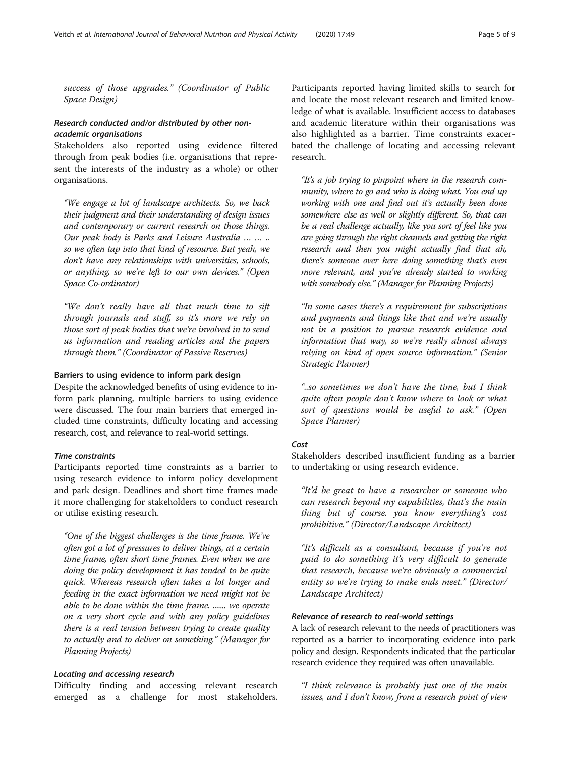success of those upgrades." (Coordinator of Public Space Design)

#### Research conducted and/or distributed by other nonacademic organisations

Stakeholders also reported using evidence filtered through from peak bodies (i.e. organisations that represent the interests of the industry as a whole) or other organisations.

"We engage a lot of landscape architects. So, we back their judgment and their understanding of design issues and contemporary or current research on those things. Our peak body is Parks and Leisure Australia … … .. so we often tap into that kind of resource. But yeah, we don't have any relationships with universities, schools, or anything, so we're left to our own devices." (Open Space Co-ordinator)

"We don't really have all that much time to sift through journals and stuff, so it's more we rely on those sort of peak bodies that we're involved in to send us information and reading articles and the papers through them." (Coordinator of Passive Reserves)

#### Barriers to using evidence to inform park design

Despite the acknowledged benefits of using evidence to inform park planning, multiple barriers to using evidence were discussed. The four main barriers that emerged included time constraints, difficulty locating and accessing research, cost, and relevance to real-world settings.

#### Time constraints

Participants reported time constraints as a barrier to using research evidence to inform policy development and park design. Deadlines and short time frames made it more challenging for stakeholders to conduct research or utilise existing research.

"One of the biggest challenges is the time frame. We've often got a lot of pressures to deliver things, at a certain time frame, often short time frames. Even when we are doing the policy development it has tended to be quite quick. Whereas research often takes a lot longer and feeding in the exact information we need might not be able to be done within the time frame. ....... we operate on a very short cycle and with any policy guidelines there is a real tension between trying to create quality to actually and to deliver on something." (Manager for Planning Projects)

#### Locating and accessing research

Difficulty finding and accessing relevant research emerged as a challenge for most stakeholders.

Participants reported having limited skills to search for and locate the most relevant research and limited knowledge of what is available. Insufficient access to databases and academic literature within their organisations was also highlighted as a barrier. Time constraints exacerbated the challenge of locating and accessing relevant research.

"It's a job trying to pinpoint where in the research community, where to go and who is doing what. You end up working with one and find out it's actually been done somewhere else as well or slightly different. So, that can be a real challenge actually, like you sort of feel like you are going through the right channels and getting the right research and then you might actually find that ah, there's someone over here doing something that's even more relevant, and you've already started to working with somebody else." (Manager for Planning Projects)

"In some cases there's a requirement for subscriptions and payments and things like that and we're usually not in a position to pursue research evidence and information that way, so we're really almost always relying on kind of open source information." (Senior Strategic Planner)

"..so sometimes we don't have the time, but I think quite often people don't know where to look or what sort of questions would be useful to ask." (Open Space Planner)

#### Cost

Stakeholders described insufficient funding as a barrier to undertaking or using research evidence.

"It'd be great to have a researcher or someone who can research beyond my capabilities, that's the main thing but of course. you know everything's cost prohibitive." (Director/Landscape Architect)

"It's difficult as a consultant, because if you're not paid to do something it's very difficult to generate that research, because we're obviously a commercial entity so we're trying to make ends meet." (Director/ Landscape Architect)

#### Relevance of research to real-world settings

A lack of research relevant to the needs of practitioners was reported as a barrier to incorporating evidence into park policy and design. Respondents indicated that the particular research evidence they required was often unavailable.

"I think relevance is probably just one of the main issues, and I don't know, from a research point of view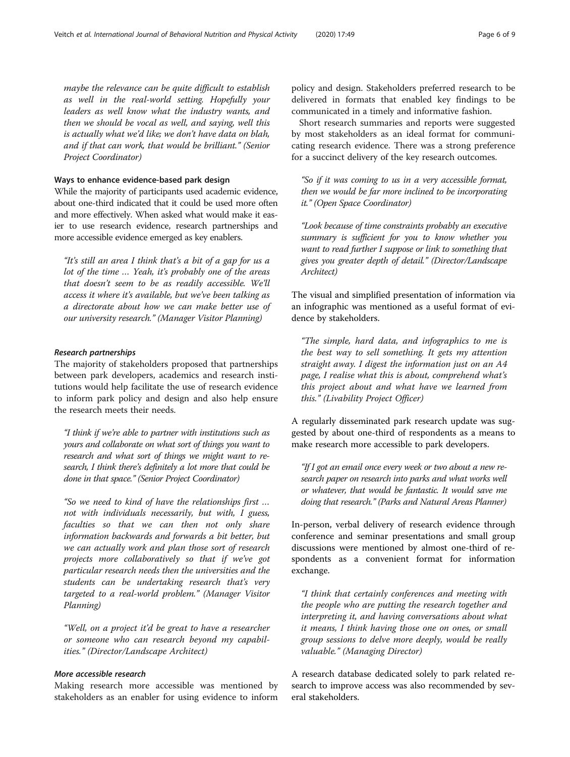maybe the relevance can be quite difficult to establish as well in the real-world setting. Hopefully your leaders as well know what the industry wants, and then we should be vocal as well, and saying, well this is actually what we'd like; we don't have data on blah, and if that can work, that would be brilliant." (Senior Project Coordinator)

#### Ways to enhance evidence-based park design

While the majority of participants used academic evidence, about one-third indicated that it could be used more often and more effectively. When asked what would make it easier to use research evidence, research partnerships and more accessible evidence emerged as key enablers.

"It's still an area I think that's a bit of a gap for us a lot of the time … Yeah, it's probably one of the areas that doesn't seem to be as readily accessible. We'll access it where it's available, but we've been talking as a directorate about how we can make better use of our university research." (Manager Visitor Planning)

#### Research partnerships

The majority of stakeholders proposed that partnerships between park developers, academics and research institutions would help facilitate the use of research evidence to inform park policy and design and also help ensure the research meets their needs.

"I think if we're able to partner with institutions such as yours and collaborate on what sort of things you want to research and what sort of things we might want to research, I think there's definitely a lot more that could be done in that space." (Senior Project Coordinator)

"So we need to kind of have the relationships first … not with individuals necessarily, but with, I guess, faculties so that we can then not only share information backwards and forwards a bit better, but we can actually work and plan those sort of research projects more collaboratively so that if we've got particular research needs then the universities and the students can be undertaking research that's very targeted to a real-world problem." (Manager Visitor Planning)

"Well, on a project it'd be great to have a researcher or someone who can research beyond my capabilities." (Director/Landscape Architect)

#### More accessible research

Making research more accessible was mentioned by stakeholders as an enabler for using evidence to inform policy and design. Stakeholders preferred research to be delivered in formats that enabled key findings to be communicated in a timely and informative fashion.

Short research summaries and reports were suggested by most stakeholders as an ideal format for communicating research evidence. There was a strong preference for a succinct delivery of the key research outcomes.

"So if it was coming to us in a very accessible format, then we would be far more inclined to be incorporating it." (Open Space Coordinator)

"Look because of time constraints probably an executive summary is sufficient for you to know whether you want to read further I suppose or link to something that gives you greater depth of detail." (Director/Landscape Architect)

The visual and simplified presentation of information via an infographic was mentioned as a useful format of evidence by stakeholders.

"The simple, hard data, and infographics to me is the best way to sell something. It gets my attention straight away. I digest the information just on an A4 page, I realise what this is about, comprehend what's this project about and what have we learned from this." (Livability Project Officer)

A regularly disseminated park research update was suggested by about one-third of respondents as a means to make research more accessible to park developers.

"If I got an email once every week or two about a new research paper on research into parks and what works well or whatever, that would be fantastic. It would save me doing that research." (Parks and Natural Areas Planner)

In-person, verbal delivery of research evidence through conference and seminar presentations and small group discussions were mentioned by almost one-third of respondents as a convenient format for information exchange.

"I think that certainly conferences and meeting with the people who are putting the research together and interpreting it, and having conversations about what it means, I think having those one on ones, or small group sessions to delve more deeply, would be really valuable." (Managing Director)

A research database dedicated solely to park related research to improve access was also recommended by several stakeholders.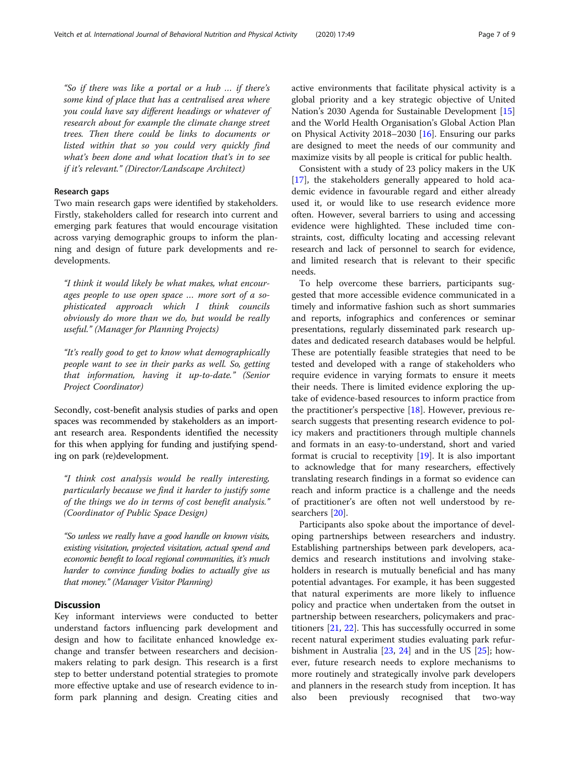"So if there was like a portal or a hub … if there's some kind of place that has a centralised area where you could have say different headings or whatever of research about for example the climate change street trees. Then there could be links to documents or listed within that so you could very quickly find what's been done and what location that's in to see if it's relevant." (Director/Landscape Architect)

#### Research gaps

Two main research gaps were identified by stakeholders. Firstly, stakeholders called for research into current and emerging park features that would encourage visitation across varying demographic groups to inform the planning and design of future park developments and redevelopments.

"I think it would likely be what makes, what encourages people to use open space … more sort of a sophisticated approach which I think councils obviously do more than we do, but would be really useful." (Manager for Planning Projects)

"It's really good to get to know what demographically people want to see in their parks as well. So, getting that information, having it up-to-date." (Senior Project Coordinator)

Secondly, cost-benefit analysis studies of parks and open spaces was recommended by stakeholders as an important research area. Respondents identified the necessity for this when applying for funding and justifying spending on park (re)development.

"I think cost analysis would be really interesting, particularly because we find it harder to justify some of the things we do in terms of cost benefit analysis." (Coordinator of Public Space Design)

"So unless we really have a good handle on known visits, existing visitation, projected visitation, actual spend and economic benefit to local regional communities, it's much harder to convince funding bodies to actually give us that money." (Manager Visitor Planning)

#### **Discussion**

Key informant interviews were conducted to better understand factors influencing park development and design and how to facilitate enhanced knowledge exchange and transfer between researchers and decisionmakers relating to park design. This research is a first step to better understand potential strategies to promote more effective uptake and use of research evidence to inform park planning and design. Creating cities and active environments that facilitate physical activity is a global priority and a key strategic objective of United Nation's 2030 Agenda for Sustainable Development [[15](#page-8-0)] and the World Health Organisation's Global Action Plan on Physical Activity 2018–2030 [\[16](#page-8-0)]. Ensuring our parks are designed to meet the needs of our community and maximize visits by all people is critical for public health.

Consistent with a study of 23 policy makers in the UK [[17\]](#page-8-0), the stakeholders generally appeared to hold academic evidence in favourable regard and either already used it, or would like to use research evidence more often. However, several barriers to using and accessing evidence were highlighted. These included time constraints, cost, difficulty locating and accessing relevant research and lack of personnel to search for evidence, and limited research that is relevant to their specific needs.

To help overcome these barriers, participants suggested that more accessible evidence communicated in a timely and informative fashion such as short summaries and reports, infographics and conferences or seminar presentations, regularly disseminated park research updates and dedicated research databases would be helpful. These are potentially feasible strategies that need to be tested and developed with a range of stakeholders who require evidence in varying formats to ensure it meets their needs. There is limited evidence exploring the uptake of evidence-based resources to inform practice from the practitioner's perspective [\[18](#page-8-0)]. However, previous research suggests that presenting research evidence to policy makers and practitioners through multiple channels and formats in an easy-to-understand, short and varied format is crucial to receptivity [[19](#page-8-0)]. It is also important to acknowledge that for many researchers, effectively translating research findings in a format so evidence can reach and inform practice is a challenge and the needs of practitioner's are often not well understood by researchers [[20](#page-8-0)].

Participants also spoke about the importance of developing partnerships between researchers and industry. Establishing partnerships between park developers, academics and research institutions and involving stakeholders in research is mutually beneficial and has many potential advantages. For example, it has been suggested that natural experiments are more likely to influence policy and practice when undertaken from the outset in partnership between researchers, policymakers and practitioners [[21,](#page-8-0) [22\]](#page-8-0). This has successfully occurred in some recent natural experiment studies evaluating park refurbishment in Australia [\[23](#page-8-0), [24\]](#page-8-0) and in the US [[25\]](#page-8-0); however, future research needs to explore mechanisms to more routinely and strategically involve park developers and planners in the research study from inception. It has also been previously recognised that two-way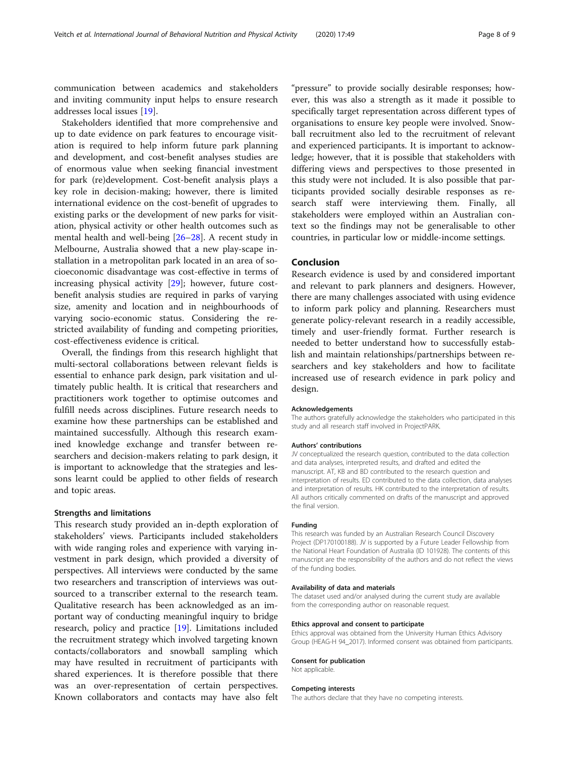communication between academics and stakeholders and inviting community input helps to ensure research addresses local issues [[19\]](#page-8-0).

Stakeholders identified that more comprehensive and up to date evidence on park features to encourage visitation is required to help inform future park planning and development, and cost-benefit analyses studies are of enormous value when seeking financial investment for park (re)development. Cost-benefit analysis plays a key role in decision-making; however, there is limited international evidence on the cost-benefit of upgrades to existing parks or the development of new parks for visitation, physical activity or other health outcomes such as mental health and well-being [[26](#page-8-0)–[28](#page-8-0)]. A recent study in Melbourne, Australia showed that a new play-scape installation in a metropolitan park located in an area of socioeconomic disadvantage was cost-effective in terms of increasing physical activity [[29](#page-8-0)]; however, future costbenefit analysis studies are required in parks of varying size, amenity and location and in neighbourhoods of varying socio-economic status. Considering the restricted availability of funding and competing priorities, cost-effectiveness evidence is critical.

Overall, the findings from this research highlight that multi-sectoral collaborations between relevant fields is essential to enhance park design, park visitation and ultimately public health. It is critical that researchers and practitioners work together to optimise outcomes and fulfill needs across disciplines. Future research needs to examine how these partnerships can be established and maintained successfully. Although this research examined knowledge exchange and transfer between researchers and decision-makers relating to park design, it is important to acknowledge that the strategies and lessons learnt could be applied to other fields of research and topic areas.

#### Strengths and limitations

This research study provided an in-depth exploration of stakeholders' views. Participants included stakeholders with wide ranging roles and experience with varying investment in park design, which provided a diversity of perspectives. All interviews were conducted by the same two researchers and transcription of interviews was outsourced to a transcriber external to the research team. Qualitative research has been acknowledged as an important way of conducting meaningful inquiry to bridge research, policy and practice [\[19\]](#page-8-0). Limitations included the recruitment strategy which involved targeting known contacts/collaborators and snowball sampling which may have resulted in recruitment of participants with shared experiences. It is therefore possible that there was an over-representation of certain perspectives. Known collaborators and contacts may have also felt

"pressure" to provide socially desirable responses; however, this was also a strength as it made it possible to specifically target representation across different types of organisations to ensure key people were involved. Snowball recruitment also led to the recruitment of relevant and experienced participants. It is important to acknowledge; however, that it is possible that stakeholders with differing views and perspectives to those presented in this study were not included. It is also possible that participants provided socially desirable responses as research staff were interviewing them. Finally, all stakeholders were employed within an Australian context so the findings may not be generalisable to other countries, in particular low or middle-income settings.

#### Conclusion

Research evidence is used by and considered important and relevant to park planners and designers. However, there are many challenges associated with using evidence to inform park policy and planning. Researchers must generate policy-relevant research in a readily accessible, timely and user-friendly format. Further research is needed to better understand how to successfully establish and maintain relationships/partnerships between researchers and key stakeholders and how to facilitate increased use of research evidence in park policy and design.

#### Acknowledgements

The authors gratefully acknowledge the stakeholders who participated in this study and all research staff involved in ProjectPARK.

#### Authors' contributions

JV conceptualized the research question, contributed to the data collection and data analyses, interpreted results, and drafted and edited the manuscript. AT, KB and BD contributed to the research question and interpretation of results. ED contributed to the data collection, data analyses and interpretation of results. HK contributed to the interpretation of results. All authors critically commented on drafts of the manuscript and approved the final version.

#### Funding

This research was funded by an Australian Research Council Discovery Project (DP170100188). JV is supported by a Future Leader Fellowship from the National Heart Foundation of Australia (ID 101928). The contents of this manuscript are the responsibility of the authors and do not reflect the views of the funding bodies.

#### Availability of data and materials

The dataset used and/or analysed during the current study are available from the corresponding author on reasonable request.

#### Ethics approval and consent to participate

Ethics approval was obtained from the University Human Ethics Advisory Group (HEAG-H 94\_2017). Informed consent was obtained from participants.

#### Consent for publication

Not applicable.

#### Competing interests

The authors declare that they have no competing interests.